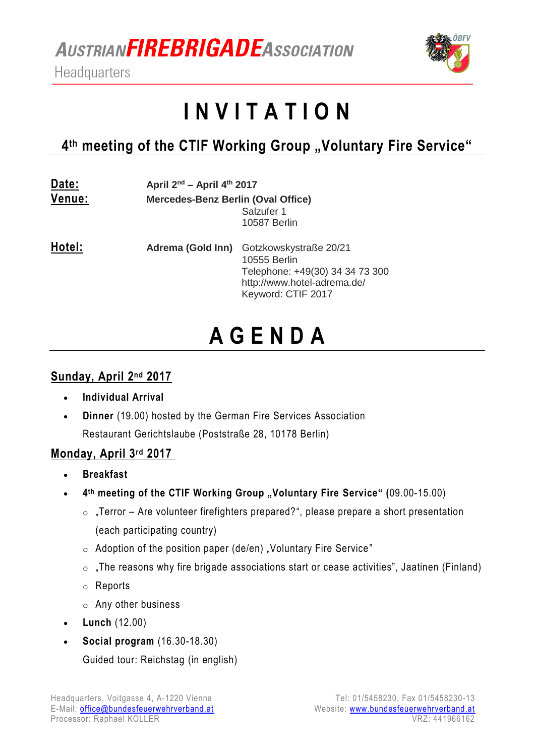**AUSTRIANFIREBRIGADE ASSOCIATION** 

Headquarters



# **I N V I T A T I O N**

## 4<sup>th</sup> meeting of the CTIF Working Group "Voluntary Fire Service"

| Date:<br>Venue: | April 2 <sup>nd</sup> - April 4 <sup>th</sup> 2017<br>Mercedes-Benz Berlin (Oval Office)<br>Salzufer 1<br>10587 Berlin |                                                                                                                                                  |
|-----------------|------------------------------------------------------------------------------------------------------------------------|--------------------------------------------------------------------------------------------------------------------------------------------------|
| Hotel:          |                                                                                                                        | Adrema (Gold Inn) Gotzkowskystraße 20/21<br>10555 Berlin<br>Telephone: +49(30) 34 34 73 300<br>http://www.hotel-adrema.de/<br>Keyword: CTIF 2017 |

# **A G E N D A**

#### **Sunday, April 2 nd 2017**

- **Individual Arrival**
- **Dinner** (19.00) hosted by the German Fire Services Association Restaurant Gerichtslaube (Poststraße 28, 10178 Berlin)

#### **Monday, April 3rd 2017**

- **Breakfast**
- **•** 4<sup>th</sup> meeting of the CTIF Working Group "Voluntary Fire Service" (09.00-15.00)
	- $\circ$  "Terror Are volunteer firefighters prepared?", please prepare a short presentation (each participating country)
	- $\circ$  Adoption of the position paper (de/en) "Voluntary Fire Service"
	- $\circ$  , The reasons why fire brigade associations start or cease activities", Jaatinen (Finland)
	- o Reports
	- o Any other business
- **Lunch** (12.00)
- **Social program** (16.30-18.30)

Guided tour: Reichstag (in english)